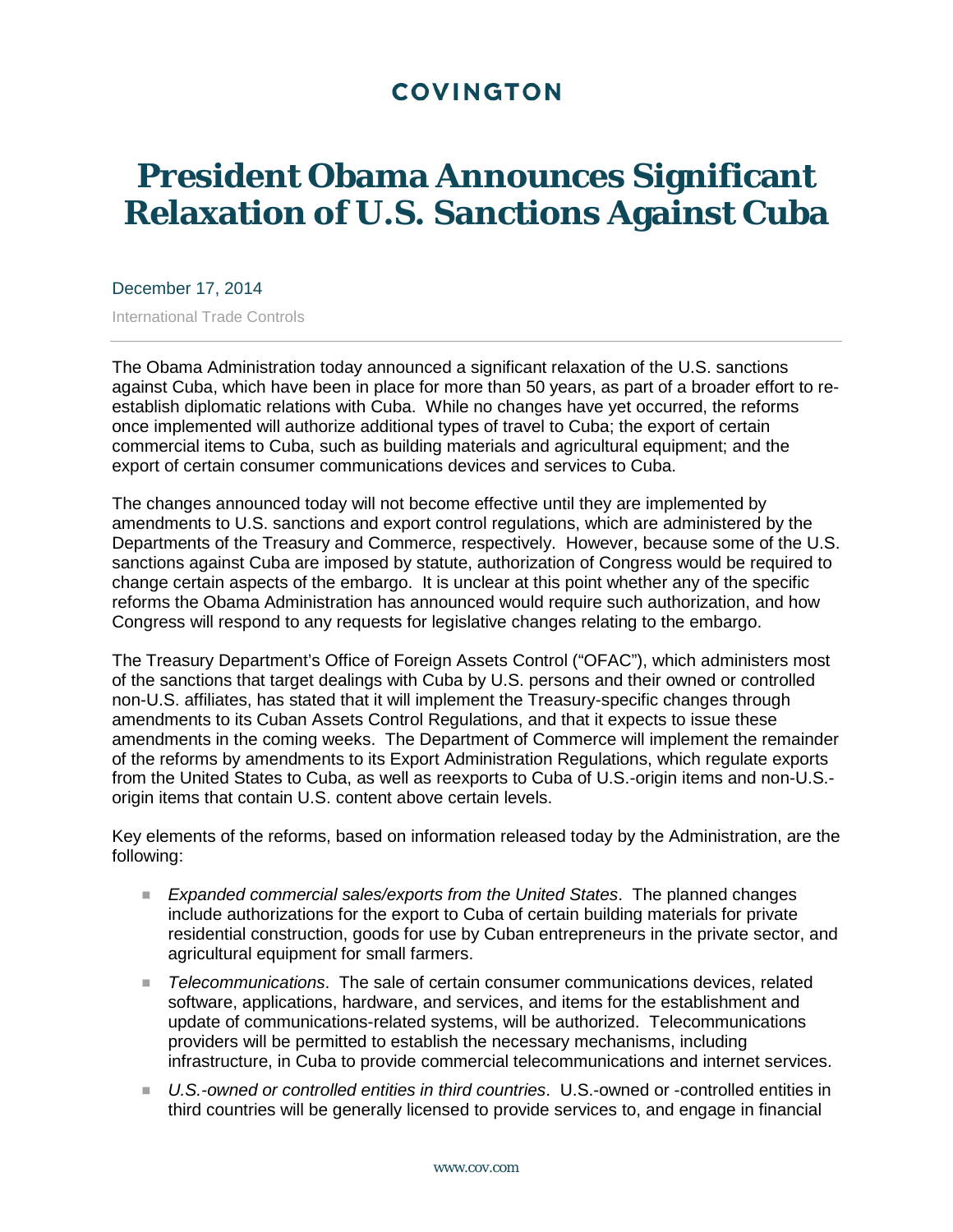## **COVINGTON**

## **President Obama Announces Significant Relaxation of U.S. Sanctions Against Cuba**

December 17, 2014

International Trade Controls

The Obama Administration today announced a significant relaxation of the U.S. sanctions against Cuba, which have been in place for more than 50 years, as part of a broader effort to reestablish diplomatic relations with Cuba. While no changes have yet occurred, the reforms once implemented will authorize additional types of travel to Cuba; the export of certain commercial items to Cuba, such as building materials and agricultural equipment; and the export of certain consumer communications devices and services to Cuba.

The changes announced today will not become effective until they are implemented by amendments to U.S. sanctions and export control regulations, which are administered by the Departments of the Treasury and Commerce, respectively. However, because some of the U.S. sanctions against Cuba are imposed by statute, authorization of Congress would be required to change certain aspects of the embargo. It is unclear at this point whether any of the specific reforms the Obama Administration has announced would require such authorization, and how Congress will respond to any requests for legislative changes relating to the embargo.

The Treasury Department's Office of Foreign Assets Control ("OFAC"), which administers most of the sanctions that target dealings with Cuba by U.S. persons and their owned or controlled non-U.S. affiliates, has stated that it will implement the Treasury-specific changes through amendments to its Cuban Assets Control Regulations, and that it expects to issue these amendments in the coming weeks. The Department of Commerce will implement the remainder of the reforms by amendments to its Export Administration Regulations, which regulate exports from the United States to Cuba, as well as reexports to Cuba of U.S.-origin items and non-U.S. origin items that contain U.S. content above certain levels.

Key elements of the reforms, based on information released today by the Administration, are the following:

- *Expanded commercial sales/exports from the United States*. The planned changes include authorizations for the export to Cuba of certain building materials for private residential construction, goods for use by Cuban entrepreneurs in the private sector, and agricultural equipment for small farmers.
- *Telecommunications*. The sale of certain consumer communications devices, related software, applications, hardware, and services, and items for the establishment and update of communications-related systems, will be authorized. Telecommunications providers will be permitted to establish the necessary mechanisms, including infrastructure, in Cuba to provide commercial telecommunications and internet services.
- *U.S.-owned or controlled entities in third countries*. U.S.-owned or -controlled entities in third countries will be generally licensed to provide services to, and engage in financial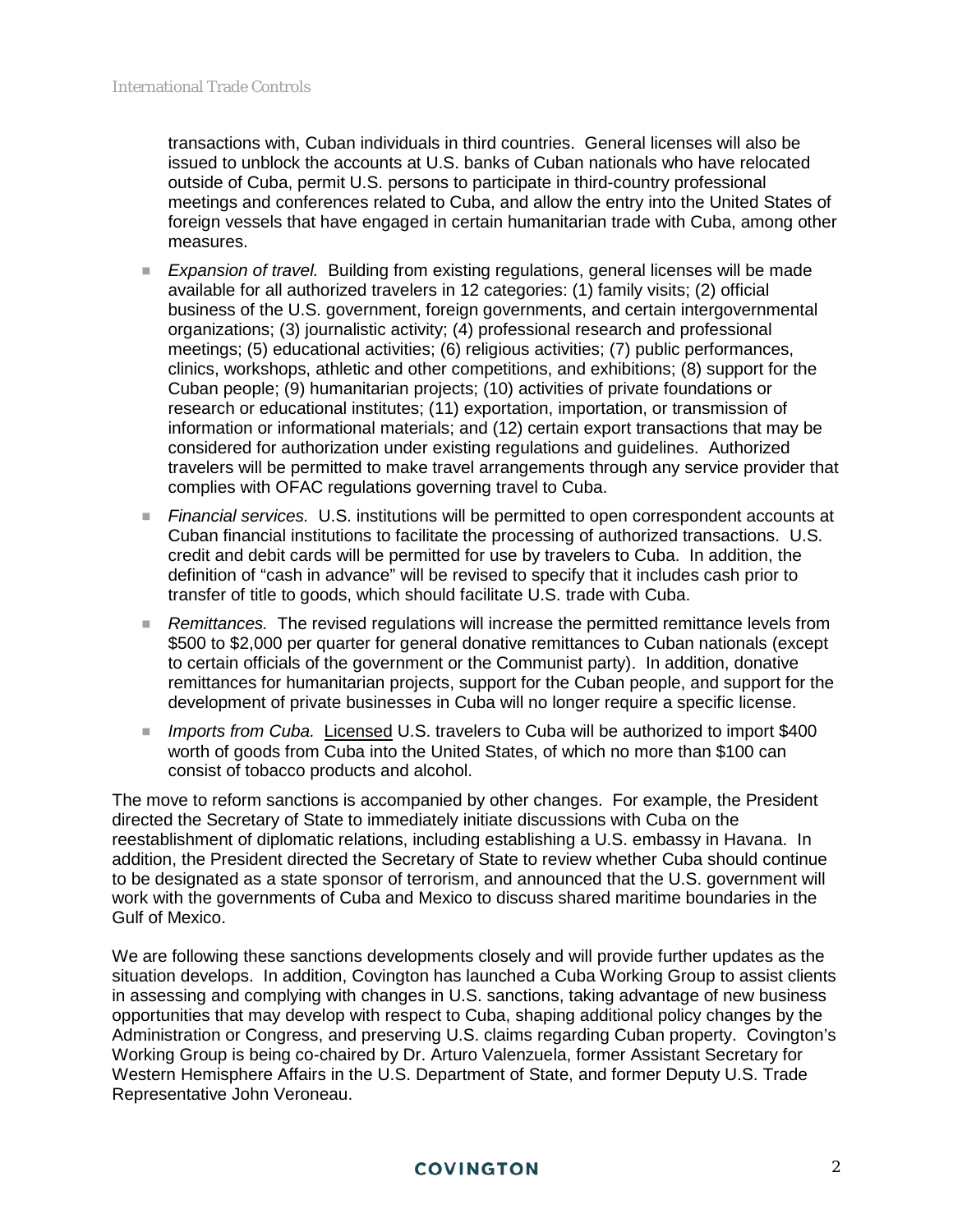transactions with, Cuban individuals in third countries. General licenses will also be issued to unblock the accounts at U.S. banks of Cuban nationals who have relocated outside of Cuba, permit U.S. persons to participate in third-country professional meetings and conferences related to Cuba, and allow the entry into the United States of foreign vessels that have engaged in certain humanitarian trade with Cuba, among other measures.

- *Expansion of travel.* Building from existing regulations, general licenses will be made available for all authorized travelers in 12 categories: (1) family visits; (2) official business of the U.S. government, foreign governments, and certain intergovernmental organizations; (3) journalistic activity; (4) professional research and professional meetings; (5) educational activities; (6) religious activities; (7) public performances, clinics, workshops, athletic and other competitions, and exhibitions; (8) support for the Cuban people; (9) humanitarian projects; (10) activities of private foundations or research or educational institutes; (11) exportation, importation, or transmission of information or informational materials; and (12) certain export transactions that may be considered for authorization under existing regulations and guidelines. Authorized travelers will be permitted to make travel arrangements through any service provider that complies with OFAC regulations governing travel to Cuba.
- *Financial services.* U.S. institutions will be permitted to open correspondent accounts at Cuban financial institutions to facilitate the processing of authorized transactions. U.S. credit and debit cards will be permitted for use by travelers to Cuba. In addition, the definition of "cash in advance" will be revised to specify that it includes cash prior to transfer of title to goods, which should facilitate U.S. trade with Cuba.
- *Remittances.* The revised regulations will increase the permitted remittance levels from \$500 to \$2,000 per quarter for general donative remittances to Cuban nationals (except to certain officials of the government or the Communist party). In addition, donative remittances for humanitarian projects, support for the Cuban people, and support for the development of private businesses in Cuba will no longer require a specific license.
- *Imports from Cuba.* Licensed U.S. travelers to Cuba will be authorized to import \$400 worth of goods from Cuba into the United States, of which no more than \$100 can consist of tobacco products and alcohol.

The move to reform sanctions is accompanied by other changes. For example, the President directed the Secretary of State to immediately initiate discussions with Cuba on the reestablishment of diplomatic relations, including establishing a U.S. embassy in Havana. In addition, the President directed the Secretary of State to review whether Cuba should continue to be designated as a state sponsor of terrorism, and announced that the U.S. government will work with the governments of Cuba and Mexico to discuss shared maritime boundaries in the Gulf of Mexico.

We are following these sanctions developments closely and will provide further updates as the situation develops. In addition, Covington has launched a Cuba Working Group to assist clients in assessing and complying with changes in U.S. sanctions, taking advantage of new business opportunities that may develop with respect to Cuba, shaping additional policy changes by the Administration or Congress, and preserving U.S. claims regarding Cuban property. Covington's Working Group is being co-chaired by Dr. Arturo Valenzuela, former Assistant Secretary for Western Hemisphere Affairs in the U.S. Department of State, and former Deputy U.S. Trade Representative John Veroneau.